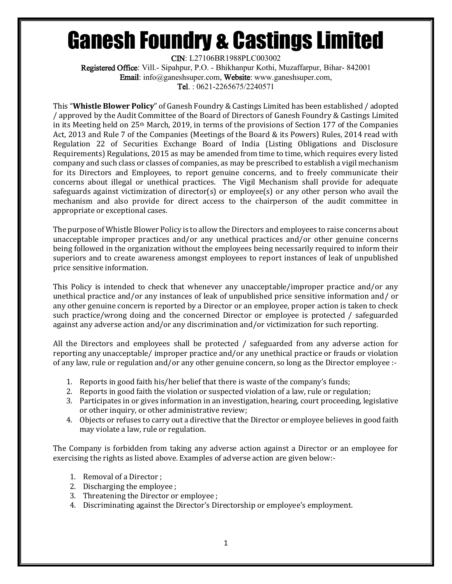## Ganesh Foundry & Castings Limited

CIN: L27106BR1988PLC003002 Registered Office: Vill.- Sipahpur, P.O. - Bhikhanpur Kothi, Muzaffarpur, Bihar- 842001 Email: info@ganeshsuper.com, Website: www.ganeshsuper.com, Tel. : 0621-2265675/2240571

This "**Whistle Blower Policy**" of Ganesh Foundry & Castings Limited has been established / adopted / approved by the Audit Committee of the Board of Directors of Ganesh Foundry & Castings Limited in its Meeting held on  $25<sup>th</sup>$  March, 2019, in terms of the provisions of Section 177 of the Companies Act, 2013 and Rule 7 of the Companies (Meetings of the Board & its Powers) Rules, 2014 read with Regulation 22 of Securities Exchange Board of India (Listing Obligations and Disclosure Requirements) Regulations, 2015 as may be amended from time to time, which requires every listed company and such class or classes of companies, as may be prescribed to establish a vigil mechanism for its Directors and Employees, to report genuine concerns, and to freely communicate their concerns about illegal or unethical practices. The Vigil Mechanism shall provide for adequate safeguards against victimization of director(s) or employee(s) or any other person who avail the mechanism and also provide for direct access to the chairperson of the audit committee in appropriate or exceptional cases.

The purpose of Whistle Blower Policy is to allow the Directors and employees to raise concerns about unacceptable improper practices and/or any unethical practices and/or other genuine concerns being followed in the organization without the employees being necessarily required to inform their superiors and to create awareness amongst employees to report instances of leak of unpublished price sensitive information.

This Policy is intended to check that whenever any unacceptable/improper practice and/or any unethical practice and/or any instances of leak of unpublished price sensitive information and/ or any other genuine concern is reported by a Director or an employee, proper action is taken to check such practice/wrong doing and the concerned Director or employee is protected / safeguarded against any adverse action and/or any discrimination and/or victimization for such reporting.

All the Directors and employees shall be protected / safeguarded from any adverse action for reporting any unacceptable/ improper practice and/or any unethical practice or frauds or violation of any law, rule or regulation and/or any other genuine concern, so long as the Director employee :-

- 1. Reports in good faith his/her belief that there is waste of the company's funds;
- 2. Reports in good faith the violation or suspected violation of a law, rule or regulation;
- 3. Participates in or gives information in an investigation, hearing, court proceeding, legislative or other inquiry, or other administrative review;
- 4. Objects or refuses to carry out a directive that the Director or employee believes in good faith may violate a law, rule or regulation.

The Company is forbidden from taking any adverse action against a Director or an employee for exercising the rights as listed above. Examples of adverse action are given below:-

- 1. Removal of a Director ;
- 2. Discharging the employee ;
- 3. Threatening the Director or employee ;
- 4. Discriminating against the Director's Directorship or employee's employment.